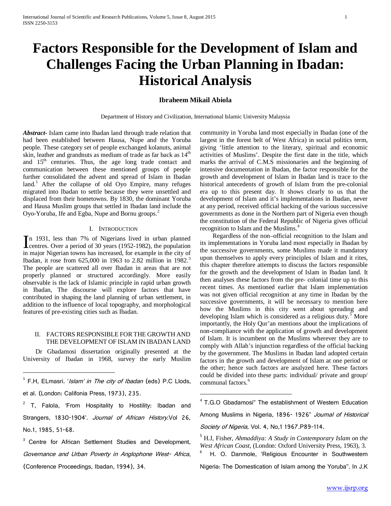# **Factors Responsible for the Development of Islam and Challenges Facing the Urban Planning in Ibadan: Historical Analysis**

# **Ibraheem Mikail Abiola**

Department of History and Civilization, International Islamic University Malaysia

*Abstract***-** Islam came into Ibadan land through trade relation that had been established between Hausa, Nupe and the Yoruba people. These category set of people exchanged kolanuts, animal skin, leather and grandnuts as medium of trade as far back as  $14<sup>th</sup>$ and  $15<sup>th</sup>$  centuries. Thus, the age long trade contact and communication between these mentioned groups of people further consolidated the advent and spread of Islam in Ibadan  $land<sup>1</sup>$  $land<sup>1</sup>$  $land<sup>1</sup>$ . After the collapse of old Oyo Empire, many refuges migrated into Ibadan to settle because they were unsettled and displaced from their hometowns. By 1830, the dominant Yoruba and Hausa Muslim groups that settled in Ibadan land include the Oyo-Yoruba, Ife and Egba, Nupe and Bornu groups.<sup>[2](#page-0-1)</sup>

# I. INTRODUCTION

n 1931, less than 7% of Nigerians lived in urban planned In 1931, less than 7% of Nigerians lived in urban planned<br>centres. Over a period of 30 years (1952-1982), the population in major Nigerian towns has increased, for example in the city of Ibadan, it rose from 625,000 in 196[3](#page-0-2) to 2.82 million in 1982.<sup>3</sup> The people are scattered all over Ibadan in areas that are not properly planned or structured accordingly. More easily observable is the lack of Islamic principle in rapid urban growth in Ibadan, The discourse will explore factors that have contributed in shaping the land planning of urban settlement, in addition to the influence of local topography, and morphological features of pre-existing cities such as Ibadan.

# II. FACTORS RESPONSIBLE FORTHE GROWTH AND THE DEVELOPMENT OF ISLAM IN IBADAN LAND

 Dr Gbadamosi dissertation originally presented at the University of Ibadan in 1968, survey the early Muslim

 $\overline{a}$ 

community in Yoruba land most especially in Ibadan (one of the largest in the forest belt of West Africa) in social politics term, giving 'little attention to the literary, spiritual and economic activities of Muslims'. Despite the first date in the title, which marks the arrival of C.M.S missionaries and the beginning of intensive documentation in Ibadan, the factor responsible for the growth and development of Islam in Ibadan land is trace to the historical antecedents of growth of Islam from the pre-colonial era up to this present day. It shows clearly to us that the development of Islam and it's implementations in Ibadan, never at any period, received official backing of the various successive governments as done in the Northern part of Nigeria even though the constitution of the Federal Republic of Nigeria gives official recognition to Islam and the Muslims.[4](#page-0-3)

 Regardless of the non–official recognition to the Islam and its implementations in Yoruba land most especially in Ibadan by the successive governments, some Muslims made it mandatory upon themselves to apply every principles of Islam and it rites, this chapter therefore attempts to discuss the factors responsible for the growth and the development of Islam in Ibadan land. It then analyses these factors from the pre- colonial time up to this recent times. As mentioned earlier that Islam implementation was not given official recognition at any time in Ibadan by the successive governments, it will be necessary to mention here how the Muslims in this city went about spreading and developing Islam which is considered as a religious duty.<sup>[5](#page-0-4)</sup> More importantly, the Holy Qur'an mentions about the implications of non-compliance with the application of growth and development of Islam. It is incumbent on the Muslims wherever they are to comply with Allah's injunction regardless of the official backing by the government. The Muslims in Ibadan land adopted certain factors in the growth and development of Islam at one period or the other; hence such factors are analyzed here. These factors could be divided into these parts: individual/ private and group/ communal factors.<sup>[6](#page-0-5)</sup>

Among Muslims in Nigeria, 1896- 1926" Journal of Historical Society of Nigeria, Vol. 4, No.1 1967.P89-114.

6 H. O. Danmole, 'Religious Encounter in Southwestern

Nigeria: The Domestication of Islam among the Yoruba''. In J.K

<span id="page-0-0"></span> $1$  F.H, ELmasri. '*Islam' in The city of Ibadan* (eds) P.C Llods, et al. (London: Califonia Press, 1973), 235.

<span id="page-0-6"></span><span id="page-0-3"></span><span id="page-0-1"></span> $2$  T, Falola, 'From Hospitality to Hostility: Ibadan and Strangers, 1830-1904'. Journal of African History. Vol 26, No.1, 1985, 51-68.

<span id="page-0-5"></span><span id="page-0-4"></span><span id="page-0-2"></span><sup>&</sup>lt;sup>3</sup> Centre for African Settlement Studies and Development, Governance and Urban Poverty in Anglophone West- Africa, (Conference Proceedings, Ibadan, 1994), 34.

<sup>&</sup>lt;sup>4</sup> T.G.O Gbadamosi" The establishment of Western Education

<sup>5</sup> H.J, Fisher, *Ahmaddiya: A Study in Contemporary Islam on the West African Coast*, (London: Oxford University Press, 1963), 3.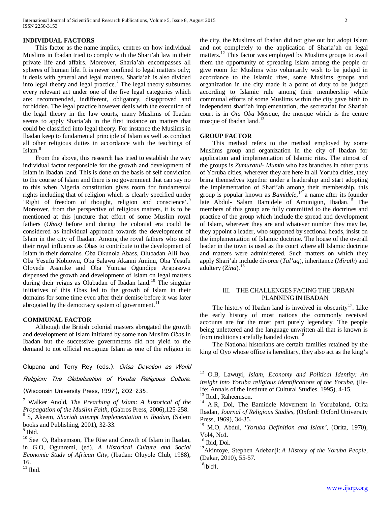#### **INDIVIDUAL FACTORS**

 This factor as the name implies, centres on how individual Muslims in Ibadan tried to comply with the Shari'ah law in their private life and affairs. Moreover, Sharia'ah encompasses all spheres of human life. It is never confined to legal matters only; it deals with general and legal matters. Sharia'ah is also divided into legal theory and legal practice.<sup>[7](#page-0-6)</sup> The legal theory subsumes every relevant act under one of the five legal categories which are: recommended, indifferent, obligatory, disapproved and forbidden. The legal practice however deals with the execution of the legal theory in the law courts, many Muslims of Ibadan seems to apply Sharia'ah in the first instance on matters that could be classified into legal theory. For instance the Muslims in Ibadan keep to fundamental principle of Islam as well as conduct all other religious duties in accordance with the teachings of Islam.<sup>[8](#page-1-0)</sup>

 From the above, this research has tried to establish the way individual factor responsible for the growth and development of Islam in Ibadan land. This is done on the basis of self conviction to the course of Islam and there is no government that can say no to this when Nigeria constitution gives room for fundamental rights including that of religion which is clearly specified under 'Right of freedom of thought, religion and conscience'.<sup>[9](#page-1-1)</sup> Moreover, from the perspective of religious matters, it is to be mentioned at this juncture that effort of some Muslim royal fathers (*Obas)* before and during the colonial era could be considered as individual approach towards the development of Islam in the city of Ibadan. Among the royal fathers who used their royal influence as Obas to contribute to the development of Islam in their domains. Oba Okunola Abass, Olubadan Alli Iwo, Oba Yesufu Kobiowu, Oba Salawu Akanni Aminu, Oba Yesufu Oloyede Asanike and Oba Yunusa Ogundipe Arapasowu dispensed the growth and development of Islam on legal matters during their reigns as Olubadan of Ibadan land.<sup>[10](#page-1-2)</sup> The singular initiatives of this Obas led to the growth of Islam in their domains for some time even after their demise before it was later abrogated by the democracy system of government.<sup>[11](#page-1-3)</sup>

# **COMMUNAL FACTOR**

 Although the British colonial masters abrogated the growth and development of Islam initiated by some non Muslim *Oba*s in Ibadan but the successive governments did not yield to the demand to not official recognize Islam as one of the religion in

<span id="page-1-4"></span>Olupana and Terry Rey (eds.). Orisa Devotion as World Religion: The Globalization of Yoruba Religious Culture.

(Wisconsin University Press, 1997), 202-235.

<span id="page-1-6"></span><span id="page-1-5"></span><sup>7</sup> Walker Anold, *The Preaching of Islam: A historical of the*  <sup>8</sup> S, Akeem, *Shariah attempt Implementation in Ibadan*, (Salem

<span id="page-1-8"></span><span id="page-1-2"></span><span id="page-1-1"></span>

<span id="page-1-9"></span> $\overline{a}$ 

<span id="page-1-7"></span><span id="page-1-0"></span>books and Publishing, 2001), 32-33.<br><sup>9</sup> Ibid. <sup>10</sup> See O, Raheemson, The Rise and Growth of Islam in Ibadan, in G.O, Ogunremi, (ed). *A Historical Culture and Social Economic Study of African City*, (Ibadan: Oluyole Club, 1988), 16.

<span id="page-1-3"></span> $11$  Ibid.

the city, the Muslims of Ibadan did not give out but adopt Islam and not completely to the application of Sharia'ah on legal matters.<sup>[12](#page-1-4)</sup> This factor was employed by Muslims groups to avail them the opportunity of spreading Islam among the people or give room for Muslims who voluntarily wish to be judged in accordance to the Islamic rites, some Muslims groups and organization in the city made it a point of duty to be judged according to Islamic rule among their membership while communal efforts of some Muslims within the city gave birth to independent shari'ah implementation, the secretariat for Shariah court is in *Oja Oba* Mosque, the mosque which is the centre mosque of Ibadan land.<sup>[13](#page-1-5)</sup>

#### **GROUP FACTOR**

 This method refers to the method employed by some Muslims group and organization in the city of Ibadan for application and implementation of Islamic rites. The utmost of the groups is *Zumuratul- Mumin* who has branches in other parts of Yoruba cities, wherever they are here in all Yoruba cities, they bring themselves together under a leadership and start adopting the implementation of Shari'ah among their membership, this group is popular known as *Bamidele*, [14](#page-1-6) a name after its founder late Abdul- Salam Bamidele of Amunigun, Ibadan.<sup>[15](#page-1-7)</sup> The members of this group are fully committed to the doctrines and practice of the group which include the spread and development of Islam, wherever they are and whatever number they may be, they appoint a leader, who supported by sectional heads, insist on the implementation of Islamic doctrine. The house of the overall leader in the town is used as the court where all Islamic doctrine and matters were administered. Such matters on which they apply Shari'ah include divorce (*Tal'aq*), inheritance (*Mirath*) and adultery (*Zina*).<sup>[16](#page-1-8)</sup>

#### III. THE CHALLENGES FACING THE URBAN PLANNING IN IBADAN

The history of Ibadan land is involved in obscurity<sup>17</sup>. Like the early history of most nations the commonly received accounts are for the most part purely legendary. The people being unlettered and the language unwritten all that is known is from traditions carefully handed down.<sup>18</sup>

 The National historians are certain families retained by the king of Oyo whose office is hereditary, they also act as the king's

<sup>12</sup> O.B, Lawuyi, *Islam*, *Economy and Political Identity: An insight into Yoruba religious identifications of the Yoruba,* (Ile-<br>Ife: Annals of the Institute of Cultural Studies, 1995), 4-15.

<sup>&</sup>lt;sup>13</sup> Ibid., Raheemson.<br><sup>14</sup> A.R, Doi, The Bamidele Movement in Yorubaland, Orita Ibadan, *Journal of Religious Studies*, (Oxford: Oxford University Press, 1969), 34-35. <sup>15</sup> M.O, Abdul, '*Yoruba Definition and Islam'*, (Orita, 1970),

Vol<sub>4</sub>, No<sub>1</sub>.<br><sup>16</sup> Ibid, Doi.

<sup>&</sup>lt;sup>17</sup> Akintoye, Stephen Adebanji: *A History of the Yoruba People*, (Dakar, 2010), 55-57.

 $18$ Ibid1.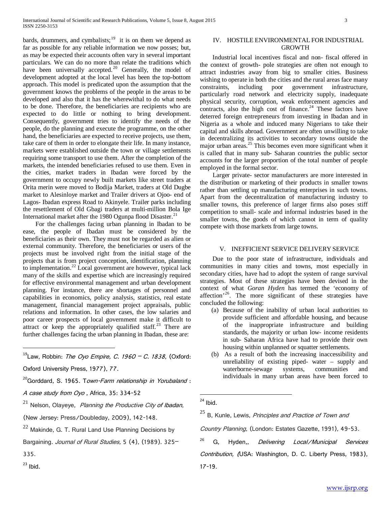bards, drummers, and cymbalists;<sup>19</sup> it is on them we depend as far as possible for any reliable information we now posses; but, as may be expected their accounts often vary in several important particulars. We can do no more than relate the traditions which have been universally accepted.<sup>[20](#page-2-0)</sup> Generally, the model of development adopted at the local level has been the top-bottom approach. This model is predicated upon the assumption that the government knows the problems of the people in the areas to be developed and also that it has the wherewithal to do what needs to be done. Therefore, the beneficiaries are recipients who are expected to do little or nothing to bring development. Consequently, government tries to identify the needs of the people, do the planning and execute the programme, on the other hand, the beneficiaries are expected to receive projects, use them, take care of them in order to elongate their life. In many instance, markets were established outside the town or village settlements requiring some transport to use them. After the completion of the markets, the intended beneficiaries refused to use them. Even in the cities, market traders in Ibadan were forced by the government to occupy newly built markets like street traders at Orita merin were moved to Bodija Market, traders at Old Dugbe market to Alesinloye market and Trailer drivers at Ojoo- end of Lagos- Ibadan express Road to Akinyele. Trailer parks including the resettlement of Old Gbagi traders at multi-million Bola Ige International market after the 1980 Ogunpa flood Disaster.<sup>[21](#page-2-1)</sup>

 For the challenges facing urban planning in Ibadan to be ease, the people of Ibadan must be considered by the beneficiaries as their own. They must not be regarded as alien or external community. Therefore, the beneficiaries or users of the projects must be involved right from the initial stage of the projects that is from project conception, identification, planning to implementation.<sup>[22](#page-2-2)</sup> Local government are however, typical lack many of the skills and expertise which are increasingly required for effective environmental management and urban development planning. For instance, there are shortages of personnel and capabilities in economics, policy analysis, statistics, real estate management, financial management project appraisals, public relations and information. In other cases, the low salaries and poor career prospects of local government make it difficult to attract or keep the appropriately qualified staff.<sup>[23](#page-2-3)</sup> There are further challenges facing the urban planning in Ibadan, these are:

 $19$ Law, Robbin: The Ovo Empire, C. 1960 – C. 1838, (Oxford: Oxford University Press, 1977), 77.

<span id="page-2-0"></span><sup>20</sup>Gorddard, S. 1965. T*own-Farm relationship in Yorubaland* :

A case study from Oyo , Africa, 35: 334-52

<span id="page-2-4"></span><span id="page-2-1"></span> $21$  Nelson, Olayeye, *Planning the Productive City of Ibadan*,

<span id="page-2-5"></span>(New Jersey: Press/Doubleday, 2009), 142-148.

<span id="page-2-6"></span>Bargaining. Journal of Rural Studies, 5 (4), (1989). 325-

<span id="page-2-7"></span> $\overline{a}$ 

<span id="page-2-3"></span> $23$  Ibid.

# IV. HOSTILE ENVIRONMENTAL FOR INDUSTRIAL **GROWTH**

 Industrial local incentives fiscal and non- fiscal offered in the context of growth- pole strategies are often not enough to attract industries away from big to smaller cities. Business wishing to operate in both the cities and the rural areas face many constraints, including poor government infrastructure, particularly road network and electricity supply, inadequate physical security, corruption, weak enforcement agencies and contracts, also the high cost of finance. $24$  These factors have deterred foreign entrepreneurs from investing in Ibadan and in Nigeria as a whole and induced many Nigerians to take their capital and skills abroad. Government are often unwilling to take in decentralizing its activities to secondary towns outside the major urban areas. $25$  This becomes even more significant when it is called that in many sub- Saharan countries the public sector accounts for the larger proportion of the total number of people employed in the formal sector.

 Larger private- sector manufacturers are more interested in the distribution or marketing of their products in smaller towns rather than settling up manufacturing enterprises in such towns. Apart from the decentralization of manufacturing industry to smaller towns, this preference of larger firms also poses stiff competition to small- scale and informal industries based in the smaller towns, the goods of which cannot in term of quality compete with those markets from large towns.

# V. INEFFICIENT SERVICE DELIVERY SERVICE

 Due to the poor state of infrastructure, individuals and communities in many cities and towns, most especially in secondary cities, have had to adopt the system of range survival strategies. Most of these strategies have been devised in the context of what *Goran Hyden* has termed the 'economy of affection<sup>'[26](#page-2-6)</sup>. The more significant of these strategies have concluded the following:

- (a) Because of the inability of urban local authorities to provide sufficient and affordable housing, and because of the inappropriate infrastructure and building standards, the majority or urban low- income residents in sub- Saharan Africa have had to provide their own housing within unplanned or squatter settlements.
- (b) As a result of both the increasing inaccessibility and unreliability of existing piped- water – supply and waterborne-sewage systems, communities and individuals in many urban areas have been forced to

 $\overline{a}$ 

Country Planning, (London: Estates Gazette, 1991), 49-53.

G, Hyden,, Delivering Local/Municipal Services Contribution, (USA: Washington, D. C. Liberty Press, 1983), 17-19.

<span id="page-2-2"></span> $22$  Makinde, G. T. Rural Land Use Planning Decisions by

<sup>335.</sup>

 $^{24}$  Ibid.

 $25$  B, Kunle, Lewis, Principles and Practice of Town and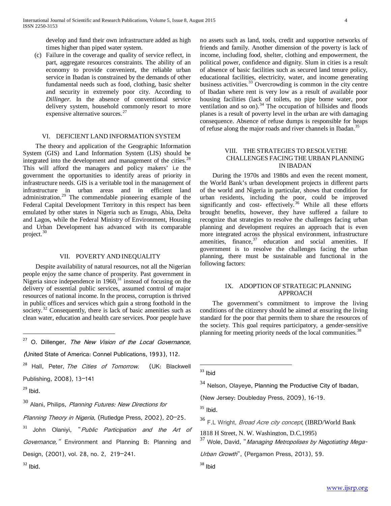develop and fund their own infrastructure added as high times higher than piped water system.

(c) Failure in the coverage and quality of service reflect, in part, aggregate resources constraints. The ability of an economy to provide convenient, the reliable urban service in Ibadan is constrained by the demands of other fundamental needs such as food, clothing, basic shelter and security in extremely poor city. According to *Dillinger*. In the absence of conventional service delivery system, household commonly resort to more expensive alternative sources.<sup>[27](#page-2-7)</sup>

## VI. DEFICIENT LAND INFORMATION SYSTEM

 The theory and application of the Geographic Information System (GIS) and Land Information System (LIS) should be integrated into the development and management of the cities.<sup>[28](#page-3-0)</sup> This will afford the managers and policy makers' i.e the government the opportunities to identify areas of priority in infrastructure needs. GIS is a veritable tool in the management of infrastructure in urban areas and in efficient land administration.[29](#page-3-1) The commendable pioneering example of the Federal Capital Development Territory in this respect has been emulated by other states in Nigeria such as Enugu, Abia, Delta and Lagos, while the Federal Ministry of Environment, Housing and Urban Development has advanced with its comparable project.<sup>[30](#page-3-2)</sup>

#### VII. POVERTY AND INEQUALITY

 Despite availability of natural resources, not all the Nigerian people enjoy the same chance of prosperity. Past government in Nigeria since independence in  $1960$ ,  $31$  instead of focusing on the delivery of essential public services, assumed control of major resources of national income. In the process, corruption is thrived in public offices and services which gain a strong foothold in the society.<sup>[32](#page-3-4)</sup> Consequently, there is lack of basic amenities such as clean water, education and health care services. Poor people have

 $27$  O. Dillenger, The New Vision of the Local Governance,

<span id="page-3-10"></span><span id="page-3-5"></span><span id="page-3-0"></span><sup>28</sup> Hall, Peter, The Cities of Tomorrow. (UK: Blackwell

<span id="page-3-6"></span>Publishing, 2008), 13–141

<span id="page-3-1"></span> $29$  Ibid.

 $\overline{a}$ 

<span id="page-3-7"></span><span id="page-3-2"></span> $30$  Alani, Philips, Planning Futures: New Directions for

<span id="page-3-8"></span>Planning Theory in Nigeria, (Rutledge Press, 2002), 20-25.

<span id="page-3-9"></span><span id="page-3-3"></span><sup>31</sup> John Olaniyi, "*Public Participation and the Art of* Governance," Environment and Planning B: Planning and

Design, (2001), vol. 28, no. 2, 219–241.

<span id="page-3-4"></span> $32$  Ibid.

no assets such as land, tools, credit and supportive networks of friends and family. Another dimension of the poverty is lack of income, including food, shelter, clothing and empowerment, the political power, confidence and dignity. Slum in cities is a result of absence of basic facilities such as secured land tenure policy, educational facilities, electricity, water, and income generating business activities.<sup>[33](#page-3-5)</sup> Overcrowding is common in the city centre of Ibadan where rent is very low as a result of available poor housing facilities (lack of toilets, no pipe borne water, poor ventilation and so on).<sup>[34](#page-3-6)</sup> The occupation of hillsides and floods planes is a result of poverty level in the urban are with damaging consequence. Absence of refuse dumps is responsible for heaps of refuse along the major roads and river channels in Ibadan.<sup>[35](#page-3-7)</sup>

# VIII. THE STRATEGIES TO RESOLVETHE CHALLENGES FACING THE URBAN PLANNING IN IBADAN

 During the 1970s and 1980s and even the recent moment, the World Bank's urban development projects in different parts of the world and Nigeria in particular, shows that condition for urban residents, including the poor, could be improved significantly and cost- effectively.<sup>[36](#page-3-8)</sup> While all these efforts brought benefits, however, they have suffered a failure to recognize that strategies to resolve the challenges facing urban planning and development requires an approach that is even more integrated across the physical environment, infrastructure amenities, finance,  $37$  education and social amenities. If government is to resolve the challenges facing the urban planning, there must be sustainable and functional in the following factors:

# IX. ADOPTION OF STRATEGIC PLANNING APPROACH

 The government's commitment to improve the living conditions of the citizenry should be aimed at ensuring the living standard for the poor that permits them to share the resources of the society. This goal requires participatory, a gender-sensitive planning for meeting priority needs of the local communities.<sup>[38](#page-3-4)</sup>

 $33$  Ibid

 $\overline{a}$ 

 $34$  Nelson, Olayeye, Planning the Productive City of Ibadan,

(New Jersey: Doubleday Press, 2009), 16-19.

 $35$  Ibid.

<sup>36</sup> F.L Wright, Broad Acre city concept, (IBRD/World Bank

1818 H Street, N. W. Washington, D.C,1995)

<sup>37</sup> Wole, David, "*Managing Metropolises by Negotiating Mega-*

Urban Growth", (Pergamon Press, 2013), 59.

<sup>(</sup>United State of America: Connel Publications, 1993), 112.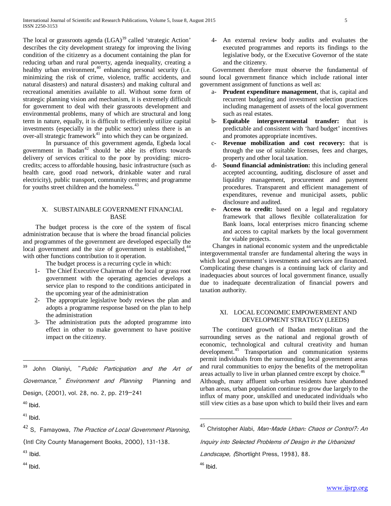The local or grassroots agenda  $(LGA)^{39}$  $(LGA)^{39}$  $(LGA)^{39}$  called 'strategic Action' describes the city development strategy for improving the living condition of the citizenry as a document containing the plan for reducing urban and rural poverty, agenda inequality, creating a healthy urban environment,<sup>[40](#page-4-0)</sup> enhancing personal security (i.e. minimizing the risk of crime, violence, traffic accidents, and natural disasters) and natural disasters) and making cultural and recreational amenities available to all. Without some form of strategic planning vision and mechanism, it is extremely difficult for government to deal with their grassroots development and environmental problems, many of which are structural and long term in nature, equally, it is difficult to efficiently utilize capital investments (especially in the public sector) unless there is an over-all strategic framework $41$  into which they can be organized.

In pursuance of this government agenda, Egbeda local government in Ibadan $42$  should be able its efforts towards delivery of services critical to the poor by providing: microcredits; access to affordable housing, basic infrastructure (such as health care, good road network, drinkable water and rural electricity), public transport, community centres; and programme for youths street children and the homeless.<sup>[43](#page-4-3)</sup>

# X. SUBSTAINABLE GOVERNMENT FINANCIAL BASE

 The budget process is the core of the system of fiscal administration because that is where the broad financial policies and programmes of the government are developed especially the local government and the size of government is established,<sup>[44](#page-4-4)</sup> with other functions contribution to it operation.

The budget process is a recurring cycle in which:

- 1- The Chief Executive Chairman of the local or grass root government with the operating agencies develops a service plan to respond to the conditions anticipated in the upcoming year of the administration
- 2- The appropriate legislative body reviews the plan and adopts a programme response based on the plan to help the administration
- 3- The administration puts the adopted programme into effect in other to make government to have positive impact on the citizenry.

<span id="page-4-6"></span> $\overline{a}$ 

<span id="page-4-4"></span> $44$  Ibid.

4- An external review body audits and evaluates the executed programmes and reports its findings to the legislative body, or the Executive Governor of the state and the citizenry.

 Government therefore must observe the fundamental of sound local government finance which include rational inter government assignment of functions as well as:

- a- **Prudent expenditure management**, that is, capital and recurrent budgeting and investment selection practices including management of assets of the local government such as real estates.
- b- **Equitable intergovernmental transfer:** that is predictable and consistent with 'hard budget' incentives and promotes appropriate incentives.
- c- **Revenue mobilization and cost recovery:** that is through the use of suitable licenses, fees and charges, property and other local taxation.
- **Sound financial administration:** this including general accepted accounting, auditing, disclosure of asset and liquidity management, procurement and payment procedures. Transparent and efficient management of expenditures, revenue and municipal assets, public disclosure and audited.
- e- **Access to credit:** based on a legal and regulatory framework that allows flexible collateralization for Bank loans, local enterprises micro financing scheme and access to capital markets by the local government for viable projects.

 Changes in national economic system and the unpredictable intergovernmental transfer are fundamental altering the ways in which local government's investments and services are financed. Complicating these changes is a continuing lack of clarity and inadequacies about sources of local government finance, usually due to inadequate decentralization of financial powers and taxation authority.

# XI. LOCAL ECONOMIC EMPOWERMENT AND DEVELOPMENT STRATEGY (LEEDS)

 The continued growth of Ibadan metropolitan and the surrounding serves as the national and regional growth of economic, technological and cultural creativity and human development.<sup>[45](#page-4-5)</sup> Transportation and communication systems permit individuals from the surrounding local government areas and rural communities to enjoy the benefits of the metropolitan areas actually to live in urban planned centre except by choice.<sup>[46](#page-4-4)</sup> Although, many affluent sub-urban residents have abandoned urban areas, urban population continue to grow due largely to the influx of many poor, unskilled and uneducated individuals who

still view cities as a base upon which to build their lives and earn

Inquiry into Selected Problems of Design in the Urbanized

Landscape, (Shortlight Press, 1998), 88.

<sup>&</sup>lt;sup>39</sup> John Olaniyi, "Public Participation and the Art of Governance," Environment and Planning Planning and Design, (2001), vol. 28, no. 2, pp. 219–241

<span id="page-4-0"></span> $40$  Ibid.

<span id="page-4-1"></span> $41$  Ibid.

<span id="page-4-5"></span><span id="page-4-2"></span> $42$  S. Famavowa, The Practice of Local Government Planning,

<sup>(</sup>Intl City County Management Books, 2000), 131-138.

<span id="page-4-3"></span> $43$  Ibid.

<sup>&</sup>lt;sup>45</sup> Christopher Alabi, Man-Made Urban: Chaos or Control?: An

 $46$  Ibid.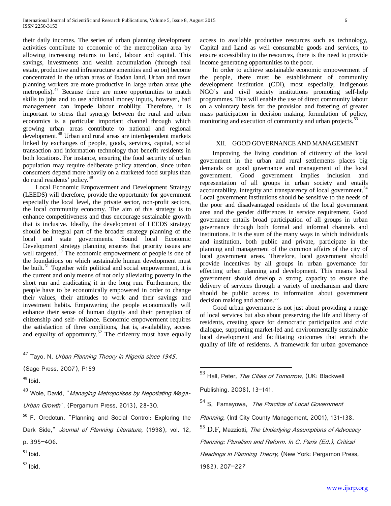their daily incomes. The series of urban planning development activities contribute to economic of the metropolitan area by allowing increasing returns to land, labour and capital. This savings, investments and wealth accumulation (through real estate, productive and infrastructure amenities and so on) become concentrated in the urban areas of Ibadan land. Urban and town planning workers are more productive in large urban areas (the metropolis).<sup>[47](#page-4-6)</sup> Because there are more opportunities to match skills to jobs and to use additional money inputs, however, bad management can impede labour mobility. Therefore, it is important to stress that synergy between the rural and urban economics is a particular important channel through which growing urban areas contribute to national and regional development.<sup>[48](#page-5-0)</sup> Urban and rural areas are interdependent markets linked by exchanges of people, goods, services, capital, social transaction and information technology that benefit residents in both locations. For instance, ensuring the food security of urban population may require deliberate policy attention, since urban consumers depend more heavily on a marketed food surplus than do rural residents' policy.[49](#page-5-1)

 Local Economic Empowerment and Development Strategy (LEEDS) will therefore, provide the opportunity for government especially the local level, the private sector, non-profit sectors, the local community economy. The aim of this strategy is to enhance competitiveness and thus encourage sustainable growth that is inclusive. Ideally, the development of LEEDS strategy should be integral part of the broader strategy planning of the local and state governments. Sound local Economic Development strategy planning ensures that priority issues are well targeted.<sup>[50](#page-5-2)</sup> The economic empowerment of people is one of the foundations on which sustainable human development must be built.<sup>[51](#page-5-3)</sup> Together with political and social empowerment, it is the current and only means of not only alleviating poverty in the short run and eradicating it in the long run. Furthermore, the people have to be economically empowered in order to change their values, their attitudes to work and their savings and investment habits. Empowering the people economically will enhance their sense of human dignity and their perception of citizenship and self- reliance. Economic empowerment requires the satisfaction of three conditions, that is, availability, access and equality of opportunity.<sup>[52](#page-5-4)</sup> The citizenry must have equally

Tayo, N, Urban Planning Theory in Nigeria since 1945,

(Sage Press, 2007), P159

<span id="page-5-5"></span><span id="page-5-0"></span><sup>48</sup> Ibid.

<span id="page-5-8"></span><span id="page-5-6"></span><span id="page-5-1"></span><sup>49</sup> Wole, David, "*Managing Metropolises by Negotiating Mega-*Urban Growth", (Pergamum Press, 2013), 28-30.

<span id="page-5-7"></span><span id="page-5-2"></span><sup>50</sup> F. Oredotun, "Planning and Social Control: Exploring the Dark Side," Journal of Planning Literature, (1998), vol. 12,

p. 395–406.

- <span id="page-5-3"></span> $51$  Ibid.
- <span id="page-5-4"></span><sup>52</sup> Ibid.

access to available productive resources such as technology, Capital and Land as well consumable goods and services, to ensure accessibility to the resources, there is the need to provide income generating opportunities to the poor.

 In order to achieve sustainable economic empowerment of the people, there must be establishment of community development institution (CDI), most especially, indigenous NGO's and civil society institutions promoting self-help programmes. This will enable the use of direct community labour on a voluntary basis for the provision and fostering of greater mass participation in decision making, formulation of policy, monitoring and execution of community and urban projects.<sup>[53](#page-5-5)</sup>

#### XII. GOOD GOVERNANCE AND MANAGEMENT

 Improving the living condition of citizenry of the local government in the urban and rural settlements places big demands on good governance and management of the local government. Good government implies inclusion and representation of all groups in urban society and entails accountability, integrity and transparency of local government.<sup>[54](#page-5-6)</sup> Local government institutions should be sensitive to the needs of the poor and disadvantaged residents of the local government area and the gender differences in service requirement. Good governance entails broad participation of all groups in urban governance through both formal and informal channels and institutions. It is the sum of the many ways in which individuals and institution, both public and private, participate in the planning and management of the common affairs of the city of local government areas. Therefore, local government should provide incentives by all groups in urban governance for effecting urban planning and development. This means local government should develop a strong capacity to ensure the delivery of services through a variety of mechanism and there should be public access to information about government decision making and actions.<sup>[55](#page-5-7)</sup>

 Good urban governance is not just about providing a range of local services but also about preserving the life and liberty of residents, creating space for democratic participation and civic dialogue, supporting market-led and environmentally sustainable local development and facilitating outcomes that enrich the quality of life of residents. A framework for urban governance

53 Hall. Peter. The Cities of Tomorrow, (UK: Blackwell

Publishing, 2008), 13–141.

<sup>54</sup> S. Famayowa, *The Practice of Local Government* 

Planning, (Intl City County Management, 2001), 131-138.

 $55$  D.F, Mazziotti, The Underlying Assumptions of Advocacy

Planning: Pluralism and Reform. In C. Paris (Ed.), Critical

Readings in Planning Theory, (New York: Pergamon Press,

1982), 207–227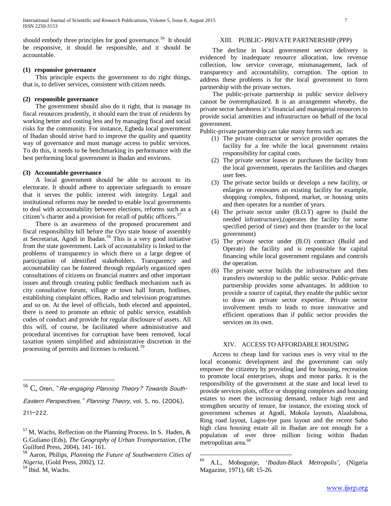should embody three principles for good governance.<sup>[56](#page-5-8)</sup> It should be responsive, it should be responsible, and it should be accountable.

# **(1) responsive governance**

 This principle expects the government to do right things, that is, to deliver services, consistent with citizen needs.

#### **(2) responsible governance**

 The government should also do it right, that is manage its fiscal resources prudently, it should earn the trust of residents by working better and costing less and by managing fiscal and social risks for the community. For instance, Egbeda local government of Ibadan should strive hard to improve the quality and quantity way of governance and must manage access to public services. To do this, it needs to be benchmarking its performance with the best performing local government in Ibadan and environs.

#### **(3) Accountable governance**

 A local government should be able to account to its electorate. It should adhere to appreciate safeguards to ensure that it serves the public interest with integrity. Legal and institutional reforms may be needed to enable local governments to deal with accountability between elections, reforms such as a citizen's charter and a provision for recall of public officers.<sup>[57](#page-6-0)</sup>

 There is an awareness of the proposed procurement and fiscal responsibility bill before the Oyo state house of assembly at Secretariat, Agodi in Ibadan.<sup>[58](#page-6-1)</sup> This is a very good initiative from the state government. Lack of accountability is linked to the problems of transparency in which there us a large degree of participation of identified stakeholders. Transparency and accountability can be fostered through regularly organized open consultations of citizens on financial matters and other important issues and through creating public feedback mechanism such as city consultative forum, village or town hall forum, hotlines, establishing complaint offices, Radio and television programmes and so on. At the level of officials, both elected and appointed, there is need to promote an ethnic of public service, establish codes of conduct and provide for regular disclosure of assets. All this will, of course, be facilitated where administrative and procedural incentives for corruption have been removed, local taxation system simplified and administrative discretion in the processing of permits and licenses is reduced.<sup>[59](#page-6-2)</sup>

# XIII. PUBLIC- PRIVATE PARTNERSHIP (PPP)

 The decline in local government service delivery is evidenced by inadequate resource allocation, low revenue collection, low service coverage, mismanagement, lack of transparency and accountability, corruption. The option to address these problems is for the local government to form partnership with the private sectors.

 The public-private partnership in public service delivery cannot be overemphasized. It is an arrangement whereby, the private sector harshness it's financial and managerial resources to provide social amenities and infrastructure on behalf of the local government.

Public-private partnership can take many forms such as:

- (1) The private contractor or service provider operates the facility for a fee while the local government retains responsibility for capital costs.
- (2) The private sector leases or purchases the facility from the local government, operates the facilities and charges user fees.
- (3) The private sector builds or develops a new facility, or enlarges or renovates an existing facility for example, shopping complex, fishpond, market, or housing units and then operates for a number of years.
- (4) The private sector under (B.O.T) agree to (build the needed infrastructure),(operates the facility for some specified period of time) and then (transfer to the local government)
- (5) The private sector under (B.O) contract (Build and Operate) the facility and is responsible for capital financing while local government regulates and controls the operation.
- (6) The private sector builds the infrastructure and then transfers ownership to the public sector. Public-private partnership provides some advantages. In addition to provide a source of capital, they enable the public sector to draw on private sector expertise. Private sector involvement tends to leads to more innovative and efficient operations than if public sector provides the services on its own.

# XIV. ACCESS TO AFFORDABLE HOUSING

 Access to cheap land for various uses is very vital to the local economic development and the government can only empower the citizenry by providing land for housing, recreation to promote local enterprises, shops and motor parks. It is the responsibility of the government at the state and local level to provide services plots, office or shopping complexes and housing estates to meet the increasing demand, reduce high rent and strengthen security of tenure, for instance, the existing stock of government schemes at Agodi, Mokola layouts, Alaalubosa, Ring road layout, Lagos-bye pass layout and the recent Sabo high class housing estate all in Ibadan are not enough for a population of over three million living within Ibadan metropolitan area.<sup>[60](#page-6-3)</sup>

C, Oren, "Re-engaging Planning Theory? Towards South-Eastern Perspectives," Planning Theory, vol. 5, no. (2006), 211–222.

<span id="page-6-0"></span> $57$  M, Wachs, Reflection on the Planning Process. In S. Haden, & G.Guliano (Eds), *The Geography of Urban Transportation,* (The

<span id="page-6-4"></span><span id="page-6-3"></span><span id="page-6-1"></span><sup>&</sup>lt;sup>58</sup> Aaron, Philips, *Planning the Future of Southwestern Cities of Nigeria*, (Gold Press, 2002), 12. <sup>59</sup> Ibid. M, Wachs.

<span id="page-6-2"></span>

<sup>60</sup> A.L, Mobogunje, '*Ibadan-Black Metropolis'*, (Nigeria Magazine, 1971), 68: 15-26.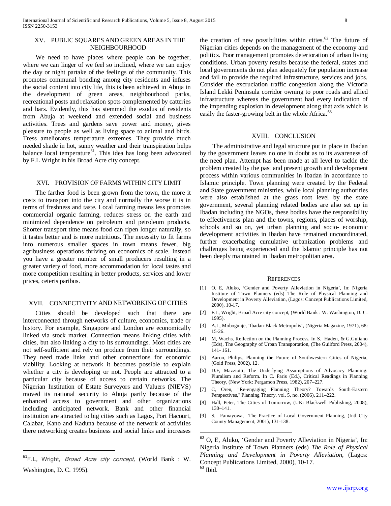#### XV. PUBLIC SQUARES AND GREEN AREAS IN THE NEIGHBOURHOOD

 We need to have places where people can be together, where we can linger of we feel so inclined, where we can enjoy the day or night partake of the feelings of the community. This promotes communal bonding among city residents and infuses the social content into city life, this is been achieved in Abuja in the development of green areas, neighbourhood parks, recreational posts and relaxation spots complemented by catteries and bars. Evidently, this has stemmed the exodus of residents from Abuja at weekend and extended social and business activities. Trees and gardens save power and money, gives pleasure to people as well as living space to animal and birds. Tress ameliorates temperature extremes. They provide much needed shade in hot, sunny weather and their transpiration helps balance local temperature<sup> $61$ </sup>. This idea has long been advocated by F.L Wright in his Broad Acre city concept.

# XVI. PROVISION OF FARMS WITHIN CITY LIMIT

 The farther food is been grown from the town, the more it costs to transport into the city and normally the worse it is in terms of freshness and taste. Local farming means less promotes commercial organic farming, reduces stress on the earth and minimized dependence on petroleum and petroleum products. Shorter transport time means food can ripen longer naturally, so it tastes better and is more nutritious. The necessity to fit farms into numerous smaller spaces in town means fewer, big agribusiness operations thriving on economics of scale. Instead you have a greater number of small producers resulting in a greater variety of food, more accommodation for local tastes and more competition resulting in better products, services and lower prices, ceteris paribus.

#### XVII. CONNECTIVITY AND NETWORKING OF CITIES

 Cities should be developed such that there are interconnected through networks of culture, economics, trade or history. For example, Singapore and London are economically linked via stock market. Connection means linking cities with cities, but also linking a city to its surroundings. Most cities are not self-sufficient and rely on produce from their surroundings. They need trade links and other connections for economic viability. Looking at network it becomes possible to explain whether a city is developing or not. People are attracted to a particular city because of access to certain networks. The Nigerian Institution of Estate Surveyors and Valuers (NIEVS) moved its national security to Abuja partly because of the enhanced access to government and other organizations including anticipated network. Bank and other financial institution are attracted to big cities such as Lagos, Port Hacourt, Calabar, Kano and Kaduna because of the network of activities there networking creates business and social links and increases

<span id="page-7-0"></span> $\overline{a}$ 

the creation of new possibilities within cities.<sup>[62](#page-7-0)</sup> The future of Nigerian cities depends on the management of the economy and politics. Poor management promotes deterioration of urban living conditions. Urban poverty results because the federal, states and local governments do not plan adequately for population increase and fail to provide the required infrastructure, services and jobs. Consider the excruciation traffic congestion along the Victoria Island Lekki Peninsula corridor owning to poor roads and allied infrastructure whereas the government had every indication of the impending explosion in development along that axis which is easily the faster-growing belt in the whole Africa.<sup>[63](#page-7-1)</sup>

#### XVIII. CONCLUSION

 The administrative and legal structure put in place in Ibadan by the government leaves no one in doubt as to its awareness of the need plan. Attempt has been made at all level to tackle the problem created by the past and present growth and development process within various communities in Ibadan in accordance to Islamic principle. Town planning were created by the Federal and State government ministries, while local planning authorities were also established at the grass root level by the state government, several planning related bodies are also set up in Ibadan including the NGOs, these bodies have the responsibility to effectiveness plan and the towns, regions, places of worship, schools and so on, yet urban planning and socio- economic development activities in Ibadan have remained uncoordinated, further exacerbating cumulative urbanization problems and challenges being experienced and the Islamic principle has not been deeply maintained in Ibadan metropolitan area.

#### **REFERENCES**

- [1] O, E, Aluko, 'Gender and Poverty Alleviation in Nigeria', In: Nigeria Institute of Town Planners (eds) The Role of Physical Planning and Development in Poverty Alleviation, (Lagos: Concept Publications Limited, 2000), 10-17.
- [2] F.L, Wright, Broad Acre city concept, (World Bank : W. Washington, D. C. 1995).
- [3] A.L, Mobogunje, 'Ibadan-Black Metropolis', (Nigeria Magazine, 1971), 68: 15-26.
- [4] M, Wachs, Reflection on the Planning Process. In S. Haden, & G.Guliano (Eds), The Geography of Urban Transportation, (The Guilford Press, 2004), 141- 161.
- [5] Aaron, Philips, Planning the Future of Southwestern Cities of Nigeria, (Gold Press, 2002), 12.
- [6] D.F, Mazziotti, The Underlying Assumptions of Advocacy Planning: Pluralism and Reform. In C. Paris (Ed.), Critical Readings in Planning Theory, (New York: Pergamon Press, 1982), 207–227.
- [7] C, Oren, "Re-engaging Planning Theory? Towards South-Eastern Perspectives," Planning Theory, vol. 5, no. (2006), 211–222.
- [8] Hall, Peter, The Cities of Tomorrow, (UK: Blackwell Publishing, 2008), 130–141.
- [9] S, Famayowa, The Practice of Local Government Planning, (Intl City County Management, 2001), 131-138.

 <sup>62</sup> O, E, Aluko, 'Gender and Poverty Alleviation in Nigeria', In: Nigeria Institute of Town Planners (eds) *The Role of Physical Planning and Development in Poverty Alleviation,* (Lagos: Concept Publications Limited, 2000), 10-17. <sup>63</sup> Ibid.

<span id="page-7-1"></span> ${}^{61}$ F.L, Wright, *Broad Acre city concept,* (World Bank : W. Washington, D. C. 1995).